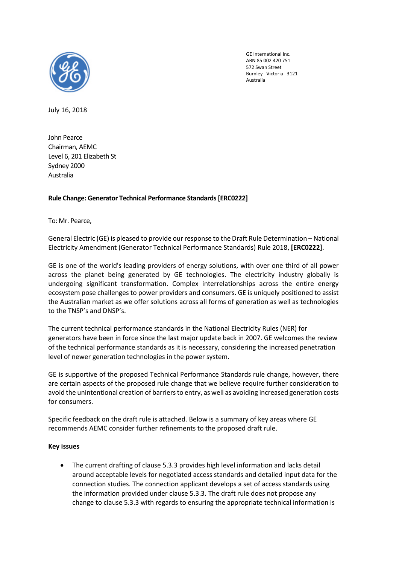

GE International Inc. AB[N 85 002 420 751](tel:85%20002%20420%20751) 572 Swan Street Burnley Victoria 3121 Australia

July 16, 2018

John Pearce Chairman, AEMC Level 6, 201 Elizabeth St Sydney 2000 Australia

## **Rule Change: Generator Technical Performance Standards [ERC0222]**

To: Mr. Pearce,

General Electric (GE) is pleased to provide our response to the Draft Rule Determination – National Electricity Amendment (Generator Technical Performance Standards) Rule 2018, **[ERC0222]**.

GE is one of the world's leading providers of energy solutions, with over one third of all power across the planet being generated by GE technologies. The electricity industry globally is undergoing significant transformation. Complex interrelationships across the entire energy ecosystem pose challenges to power providers and consumers. GE is uniquely positioned to assist the Australian market as we offer solutions across all forms of generation as well as technologies to the TNSP's and DNSP's.

The current technical performance standards in the National Electricity Rules (NER) for generators have been in force since the last major update back in 2007. GE welcomes the review of the technical performance standards as it is necessary, considering the increased penetration level of newer generation technologies in the power system.

GE is supportive of the proposed Technical Performance Standards rule change, however, there are certain aspects of the proposed rule change that we believe require further consideration to avoid the unintentional creation of barriers to entry, as well as avoiding increased generation costs for consumers.

Specific feedback on the draft rule is attached. Below is a summary of key areas where GE recommends AEMC consider further refinements to the proposed draft rule.

## **Key issues**

• The current drafting of clause 5.3.3 provides high level information and lacks detail around acceptable levels for negotiated access standards and detailed input data for the connection studies. The connection applicant develops a set of access standards using the information provided under clause 5.3.3. The draft rule does not propose any change to clause 5.3.3 with regards to ensuring the appropriate technical information is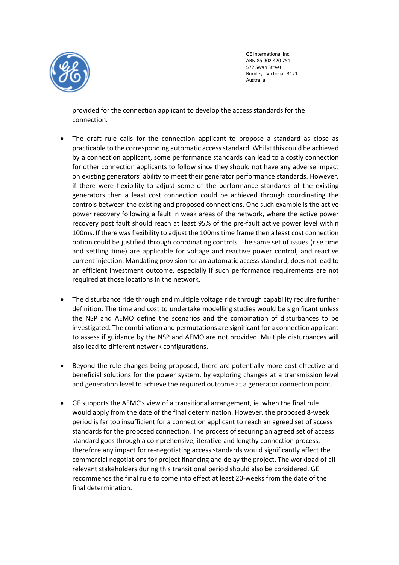

GE International Inc. AB[N 85 002 420 751](tel:85%20002%20420%20751) 572 Swan Street Burnley Victoria 3121 Australia

provided for the connection applicant to develop the access standards for the connection.

- The draft rule calls for the connection applicant to propose a standard as close as practicable to the corresponding automatic access standard. Whilst this could be achieved by a connection applicant, some performance standards can lead to a costly connection for other connection applicants to follow since they should not have any adverse impact on existing generators' ability to meet their generator performance standards. However, if there were flexibility to adjust some of the performance standards of the existing generators then a least cost connection could be achieved through coordinating the controls between the existing and proposed connections. One such example is the active power recovery following a fault in weak areas of the network, where the active power recovery post fault should reach at least 95% of the pre-fault active power level within 100ms. If there was flexibility to adjust the 100ms time frame then a least cost connection option could be justified through coordinating controls. The same set of issues (rise time and settling time) are applicable for voltage and reactive power control, and reactive current injection. Mandating provision for an automatic access standard, does not lead to an efficient investment outcome, especially if such performance requirements are not required at those locations in the network.
- The disturbance ride through and multiple voltage ride through capability require further definition. The time and cost to undertake modelling studies would be significant unless the NSP and AEMO define the scenarios and the combination of disturbances to be investigated. The combination and permutations are significant for a connection applicant to assess if guidance by the NSP and AEMO are not provided. Multiple disturbances will also lead to different network configurations.
- Beyond the rule changes being proposed, there are potentially more cost effective and beneficial solutions for the power system, by exploring changes at a transmission level and generation level to achieve the required outcome at a generator connection point.
- GE supports the AEMC's view of a transitional arrangement, ie. when the final rule would apply from the date of the final determination. However, the proposed 8-week period is far too insufficient for a connection applicant to reach an agreed set of access standards for the proposed connection. The process of securing an agreed set of access standard goes through a comprehensive, iterative and lengthy connection process, therefore any impact for re-negotiating access standards would significantly affect the commercial negotiations for project financing and delay the project. The workload of all relevant stakeholders during this transitional period should also be considered. GE recommends the final rule to come into effect at least 20-weeks from the date of the final determination.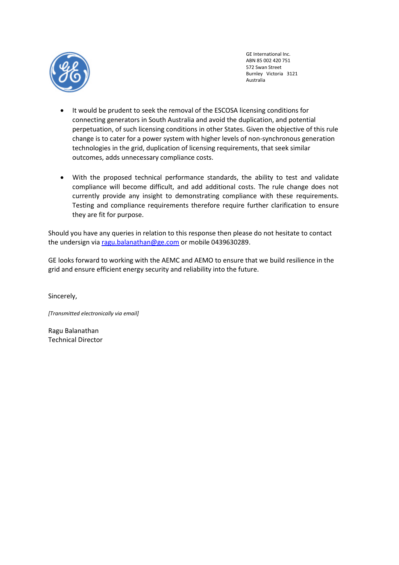

GE International Inc. AB[N 85 002 420 751](tel:85%20002%20420%20751) 572 Swan Street Burnley Victoria 3121 Australia

- It would be prudent to seek the removal of the ESCOSA licensing conditions for connecting generators in South Australia and avoid the duplication, and potential perpetuation, of such licensing conditions in other States. Given the objective of this rule change is to cater for a power system with higher levels of non-synchronous generation technologies in the grid, duplication of licensing requirements, that seek similar outcomes, adds unnecessary compliance costs.
- With the proposed technical performance standards, the ability to test and validate compliance will become difficult, and add additional costs. The rule change does not currently provide any insight to demonstrating compliance with these requirements. Testing and compliance requirements therefore require further clarification to ensure they are fit for purpose.

Should you have any queries in relation to this response then please do not hesitate to contact the undersign vi[a ragu.balanathan@ge.com](mailto:ragu.balanathan@ge.com) or mobile 0439630289.

GE looks forward to working with the AEMC and AEMO to ensure that we build resilience in the grid and ensure efficient energy security and reliability into the future.

Sincerely,

*[Transmitted electronically via email]*

Ragu Balanathan Technical Director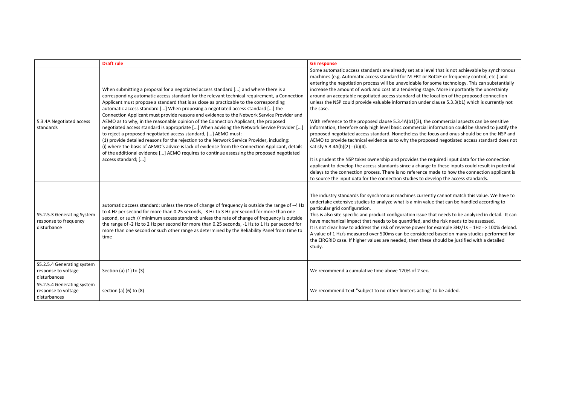|                                                                    | <b>Draft rule</b>                                                                                                                                                                                                                                                                                                                                                                                                                                                                                                                                                                                                                                                                                                                                                                                                                                                                                                                                                                                                                          | <b>GE response</b>                                                                                                                                                                                                                                                                                                                                                                                                                                                                                                                                                                                                                                                                                                                                                                                                                                                                                                     |
|--------------------------------------------------------------------|--------------------------------------------------------------------------------------------------------------------------------------------------------------------------------------------------------------------------------------------------------------------------------------------------------------------------------------------------------------------------------------------------------------------------------------------------------------------------------------------------------------------------------------------------------------------------------------------------------------------------------------------------------------------------------------------------------------------------------------------------------------------------------------------------------------------------------------------------------------------------------------------------------------------------------------------------------------------------------------------------------------------------------------------|------------------------------------------------------------------------------------------------------------------------------------------------------------------------------------------------------------------------------------------------------------------------------------------------------------------------------------------------------------------------------------------------------------------------------------------------------------------------------------------------------------------------------------------------------------------------------------------------------------------------------------------------------------------------------------------------------------------------------------------------------------------------------------------------------------------------------------------------------------------------------------------------------------------------|
| 5.3.4A Negotiated access<br>standards                              | When submitting a proposal for a negotiated access standard [] and where there is a<br>corresponding automatic access standard for the relevant technical requirement, a Connection<br>Applicant must propose a standard that is as close as practicable to the corresponding<br>automatic access standard [] When proposing a negotiated access standard [] the<br>Connection Applicant must provide reasons and evidence to the Network Service Provider and<br>AEMO as to why, in the reasonable opinion of the Connection Applicant, the proposed<br>negotiated access standard is appropriate [] When advising the Network Service Provider []<br>to reject a proposed negotiated access standard, [] AEMO must:<br>(1) provide detailed reasons for the rejection to the Network Service Provider, including:<br>(i) where the basis of AEMO's advice is lack of evidence from the Connection Applicant, details<br>of the additional evidence [] AEMO requires to continue assessing the proposed negotiated<br>access standard; [] | Some automatic access standards are already set at a level that is not achievable by synchronous<br>machines (e.g. Automatic access standard for M-FRT or RoCoF or frequency control, etc.) and<br>entering the negotiation process will be unavoidable for some technology. This can substantially<br>increase the amount of work and cost at a tendering stage. More importantly the uncertainty<br>around an acceptable negotiated access standard at the location of the proposed connection<br>unless the NSP could provide valuable information under clause 5.3.3(b1) which is currently not<br>the case.<br>With reference to the proposed clause 5.3.4A(b1)(3), the commercial aspects can be sensitive<br>information, therefore only high level basic commercial information could be shared to justify the<br>proposed negotiated access standard. Nonetheless the focus and onus should be on the NSP and |
|                                                                    |                                                                                                                                                                                                                                                                                                                                                                                                                                                                                                                                                                                                                                                                                                                                                                                                                                                                                                                                                                                                                                            | AEMO to provide technical evidence as to why the proposed negotiated access standard does not<br>satisfy $5.3.4A(b)(2) - (b)(4)$ .<br>It is prudent the NSP takes ownership and provides the required input data for the connection<br>applicant to develop the access standards since a change to these inputs could result in potential<br>delays to the connection process. There is no reference made to how the connection applicant is<br>to source the input data for the connection studies to develop the access standards.                                                                                                                                                                                                                                                                                                                                                                                   |
| S5.2.5.3 Generating System<br>response to frequency<br>disturbance | automatic access standard: unless the rate of change of frequency is outside the range of -4 Hz<br>to 4 Hz per second for more than 0.25 seconds, -3 Hz to 3 Hz per second for more than one<br>second, or such // minimum access standard: unless the rate of change of frequency is outside<br>the range of -2 Hz to 2 Hz per second for more than 0.25 seconds, -1 Hz to 1 Hz per second for<br>more than one second or such other range as determined by the Reliability Panel from time to<br>time                                                                                                                                                                                                                                                                                                                                                                                                                                                                                                                                    | The industry standards for synchronous machines currently cannot match this value. We have to<br>undertake extensive studies to analyze what is a min value that can be handled according to<br>particular grid configuration.<br>This is also site specific and product configuration issue that needs to be analyzed in detail. It can<br>have mechanical impact that needs to be quantified, and the risk needs to be assessed.<br>It is not clear how to address the risk of reverse power for example $3Hz/1s = 1Hz \Rightarrow 100\%$ deload.<br>A value of 1 Hz/s measured over 500ms can be considered based on many studies performed for<br>the EIRGRID case. If higher values are needed, then these should be justified with a detailed<br>study.                                                                                                                                                          |
| S5.2.5.4 Generating system<br>response to voltage<br>disturbances  | Section (a) (1) to (3)                                                                                                                                                                                                                                                                                                                                                                                                                                                                                                                                                                                                                                                                                                                                                                                                                                                                                                                                                                                                                     | We recommend a cumulative time above 120% of 2 sec.                                                                                                                                                                                                                                                                                                                                                                                                                                                                                                                                                                                                                                                                                                                                                                                                                                                                    |
| S5.2.5.4 Generating system<br>response to voltage<br>disturbances  | section (a) $(6)$ to $(8)$                                                                                                                                                                                                                                                                                                                                                                                                                                                                                                                                                                                                                                                                                                                                                                                                                                                                                                                                                                                                                 | We recommend Text "subject to no other limiters acting" to be added.                                                                                                                                                                                                                                                                                                                                                                                                                                                                                                                                                                                                                                                                                                                                                                                                                                                   |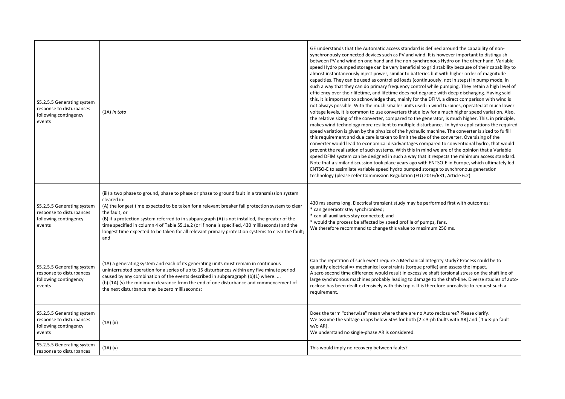| S5.2.5.5 Generating system<br>response to disturbances<br>following contingency<br>events | $(1A)$ in toto                                                                                                                                                                                                                                                                                                                                                                                                                                                                                                                                      | GE understands that the Automatic access standard is<br>synchronously connected devices such as PV and wind.<br>between PV and wind on one hand and the non-synchr<br>speed Hydro pumped storage can be very beneficial to<br>almost instantaneously inject power, similar to batterie<br>capacities. They can be used as controlled loads (contir<br>such a way that they can do primary frequency control<br>efficiency over their lifetime, and lifetime does not deg<br>this, it is important to acknowledge that, mainly for the<br>not always possible. With the much smaller units used<br>voltage levels, it is common to use converters that allow<br>the relative sizing of the converter, compared to the ge<br>makes wind technology more resilient to multiple distu<br>speed variation is given by the physics of the hydraulic<br>this requirement and due care is taken to limit the size<br>converter would lead to economical disadvantages con<br>prevent the realization of such systems. With this in mi<br>speed DFIM system can be designed in such a way that<br>Note that a similar discussion took place years ago with<br>ENTSO-E to assimilate variable speed hydro pumped st<br>technology (please refer Commission Regulation (EU) 2 |
|-------------------------------------------------------------------------------------------|-----------------------------------------------------------------------------------------------------------------------------------------------------------------------------------------------------------------------------------------------------------------------------------------------------------------------------------------------------------------------------------------------------------------------------------------------------------------------------------------------------------------------------------------------------|--------------------------------------------------------------------------------------------------------------------------------------------------------------------------------------------------------------------------------------------------------------------------------------------------------------------------------------------------------------------------------------------------------------------------------------------------------------------------------------------------------------------------------------------------------------------------------------------------------------------------------------------------------------------------------------------------------------------------------------------------------------------------------------------------------------------------------------------------------------------------------------------------------------------------------------------------------------------------------------------------------------------------------------------------------------------------------------------------------------------------------------------------------------------------------------------------------------------------------------------------------------------|
| S5.2.5.5 Generating system<br>response to disturbances<br>following contingency<br>events | (iii) a two phase to ground, phase to phase or phase to ground fault in a transmission system<br>cleared in:<br>(A) the longest time expected to be taken for a relevant breaker fail protection system to clear<br>the fault; or<br>(B) if a protection system referred to in subparagraph (A) is not installed, the greater of the<br>time specified in column 4 of Table S5.1a.2 (or if none is specified, 430 milliseconds) and the<br>longest time expected to be taken for all relevant primary protection systems to clear the fault;<br>and | 430 ms seems long. Electrical transient study may be p<br>* can generaotr stay synchronized;<br>* can all auxiliaries stay connected; and<br>* would the process be affected by speed profile of pur<br>We therefore recommend to change this value to maxi                                                                                                                                                                                                                                                                                                                                                                                                                                                                                                                                                                                                                                                                                                                                                                                                                                                                                                                                                                                                        |
| S5.2.5.5 Generating system<br>response to disturbances<br>following contingency<br>events | (1A) a generating system and each of its generating units must remain in continuous<br>uninterrupted operation for a series of up to 15 disturbances within any five minute period<br>caused by any combination of the events described in subparagraph (b)(1) where:<br>(b) (1A) (v) the minimum clearance from the end of one disturbance and commencement of<br>the next disturbance may be zero milliseconds;                                                                                                                                   | Can the repetition of such event require a Mechanical<br>quantify electrical => mechanical constraints (torque pr<br>A zero second time difference would result in excessive<br>large synchronous machines probably leading to damag<br>reclose has been dealt extensively with this topic. It is t<br>requirement.                                                                                                                                                                                                                                                                                                                                                                                                                                                                                                                                                                                                                                                                                                                                                                                                                                                                                                                                                |
| S5.2.5.5 Generating system<br>response to disturbances<br>following contingency<br>events | $(1A)$ (ii)                                                                                                                                                                                                                                                                                                                                                                                                                                                                                                                                         | Does the term "otherwise" mean where there are no A<br>We assume the voltage drops below 50% for both [2 x<br>$w$ /o AR].<br>We understand no single-phase AR is considered.                                                                                                                                                                                                                                                                                                                                                                                                                                                                                                                                                                                                                                                                                                                                                                                                                                                                                                                                                                                                                                                                                       |
| S5.2.5.5 Generating system<br>response to disturbances                                    | $(1A)$ $(v)$                                                                                                                                                                                                                                                                                                                                                                                                                                                                                                                                        | This would imply no recovery between faults?                                                                                                                                                                                                                                                                                                                                                                                                                                                                                                                                                                                                                                                                                                                                                                                                                                                                                                                                                                                                                                                                                                                                                                                                                       |

defined around the capability of non-It is however important to distinguish ronous Hydro on the other hand. Variable speed atability because of their capability to ies but with higher order of magnitude nuously, not in steps) in pump mode, in I while pumping. They retain a high level of grade with deep discharging. Having said e DFIM, a direct comparison with wind is I in wind turbines, operated at much lower w for a much higher speed variation. Also, enerator, is much higher. This, in principle, urbance. In hydro applications the required machine. The converter is sized to fulfill the converter. Oversizing of the mpared to conventional hydro, that would ind we are of the opinion that a Variable t it respects the minimum access standard. h ENTSO-E in Europe, which ultimately led torage to synchronous generation 2016/631, Article 6.2)

## berformed first with outcomes:

 $mps$ , fans. imum 250 ms.

Integrity study? Process could be to profile) and assess the impact. e shaft torsional stress on the shaftline of large to the shaft-line. Diverse studies of autotherefore unrealistic to request such a

Auto reclosures? Please clarify.  $3$ -ph faults with AR] and [ 1 x 3-ph fault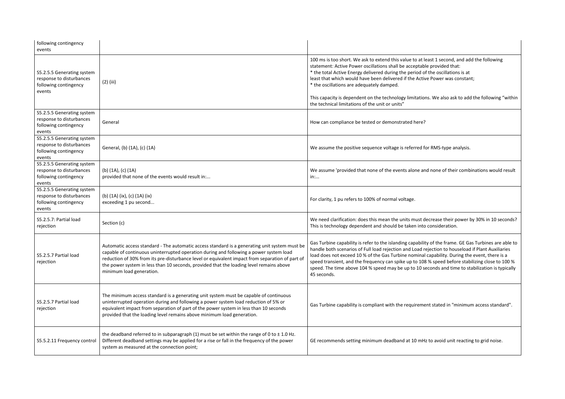| following contingency<br>events                                                           |                                                                                                                                                                                                                                                                                                                                                                                                                   |                                                                                                                                                                                                                                                                                                                                                                                                                                                                                                                                    |
|-------------------------------------------------------------------------------------------|-------------------------------------------------------------------------------------------------------------------------------------------------------------------------------------------------------------------------------------------------------------------------------------------------------------------------------------------------------------------------------------------------------------------|------------------------------------------------------------------------------------------------------------------------------------------------------------------------------------------------------------------------------------------------------------------------------------------------------------------------------------------------------------------------------------------------------------------------------------------------------------------------------------------------------------------------------------|
| S5.2.5.5 Generating system<br>response to disturbances<br>following contingency<br>events | $(2)$ (iii)                                                                                                                                                                                                                                                                                                                                                                                                       | 100 ms is too short. We ask to extend this value to at least 1 second, and add the following<br>statement: Active Power oscillations shall be acceptable provided that:<br>* the total Active Energy delivered during the period of the oscillations is at<br>least that which would have been delivered if the Active Power was constant;<br>* the oscillations are adequately damped.<br>This capacity is dependent on the technology limitations. We also ask to add the following "within                                      |
|                                                                                           |                                                                                                                                                                                                                                                                                                                                                                                                                   | the technical limitations of the unit or units"                                                                                                                                                                                                                                                                                                                                                                                                                                                                                    |
| S5.2.5.5 Generating system<br>response to disturbances<br>following contingency<br>events | General                                                                                                                                                                                                                                                                                                                                                                                                           | How can compliance be tested or demonstrated here?                                                                                                                                                                                                                                                                                                                                                                                                                                                                                 |
| S5.2.5.5 Generating system<br>response to disturbances<br>following contingency<br>events | General, (b) (1A), (c) (1A)                                                                                                                                                                                                                                                                                                                                                                                       | We assume the positive sequence voltage is referred for RMS-type analysis.                                                                                                                                                                                                                                                                                                                                                                                                                                                         |
| S5.2.5.5 Generating system<br>response to disturbances<br>following contingency<br>events | (b) $(1A)$ , $(c)$ $(1A)$<br>provided that none of the events would result in:                                                                                                                                                                                                                                                                                                                                    | We assume 'provided that none of the events alone and none of their combinations would result<br>in:                                                                                                                                                                                                                                                                                                                                                                                                                               |
| S5.2.5.5 Generating system<br>response to disturbances<br>following contingency<br>events | (b) (1A) (ix), (c) (1A) (ix)<br>exceeding 1 pu second                                                                                                                                                                                                                                                                                                                                                             | For clarity, 1 pu refers to 100% of normal voltage.                                                                                                                                                                                                                                                                                                                                                                                                                                                                                |
| S5.2.5.7: Partial load<br>rejection                                                       | Section (c)                                                                                                                                                                                                                                                                                                                                                                                                       | We need clarification: does this mean the units must decrease their power by 30% in 10 seconds?<br>This is technology dependent and should be taken into consideration.                                                                                                                                                                                                                                                                                                                                                            |
| S5.2.5.7 Partial load<br>rejection                                                        | Automatic access standard - The automatic access standard is a generating unit system must be<br>capable of continuous uninterrupted operation during and following a power system load<br>reduction of 30% from its pre-disturbance level or equivalent impact from separation of part of<br>the power system in less than 10 seconds, provided that the loading level remains above<br>minimum load generation. | Gas Turbine capability is refer to the islanding capability of the frame. GE Gas Turbines are able to<br>handle both scenarios of Full load rejection and Load rejection to houseload if Plant Auxiliaries<br>load does not exceed 10 % of the Gas Turbine nominal capability. During the event, there is a<br>speed transient, and the frequency can spike up to 108 % speed before stabilizing close to 100 %<br>speed. The time above 104 % speed may be up to 10 seconds and time to stabilization is typically<br>45 seconds. |
| S5.2.5.7 Partial load<br>rejection                                                        | The minimum access standard is a generating unit system must be capable of continuous<br>uninterrupted operation during and following a power system load reduction of 5% or<br>equivalent impact from separation of part of the power system in less than 10 seconds<br>provided that the loading level remains above minimum load generation.                                                                   | Gas Turbine capability is compliant with the requirement stated in "minimum access standard".                                                                                                                                                                                                                                                                                                                                                                                                                                      |
| S5.5.2.11 Frequency control                                                               | the deadband referred to in subparagraph $(1)$ must be set within the range of 0 to $\pm$ 1.0 Hz.<br>Different deadband settings may be applied for a rise or fall in the frequency of the power<br>system as measured at the connection point;                                                                                                                                                                   | GE recommends setting minimum deadband at 10 mHz to avoid unit reacting to grid noise.                                                                                                                                                                                                                                                                                                                                                                                                                                             |